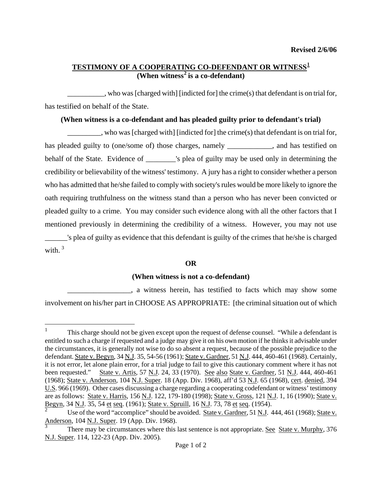# **TESTIMONY OF A COOPERATING CO-DEFENDANT OR WITNESS[1](#page-0-0) (When witness[2](#page-0-1) is a co-defendant)**

\_\_\_\_\_\_\_\_\_\_, who was [charged with] [indicted for] the crime(s) that defendant is on trial for, has testified on behalf of the State.

## **(When witness is a co-defendant and has pleaded guilty prior to defendant's trial)**

\_\_\_\_\_\_\_\_\_, who was [charged with] [indicted for] the crime(s) that defendant is on trial for, has pleaded guilty to (one/some of) those charges, namely \_\_\_\_\_\_\_\_\_\_, and has testified on behalf of the State. Evidence of \_\_\_\_\_\_\_\_'s plea of guilty may be used only in determining the credibility or believability of the witness' testimony. A jury has a right to consider whether a person who has admitted that he/she failed to comply with society's rules would be more likely to ignore the oath requiring truthfulness on the witness stand than a person who has never been convicted or pleaded guilty to a crime. You may consider such evidence along with all the other factors that I mentioned previously in determining the credibility of a witness. However, you may not use \_\_\_\_\_\_'s plea of guilty as evidence that this defendant is guilty of the crimes that he/she is charged with.  $3$ 

## **OR**

## **(When witness is not a co-defendant)**

\_\_\_\_\_\_\_\_\_\_\_\_\_\_\_\_\_, a witness herein, has testified to facts which may show some involvement on his/her part in CHOOSE AS APPROPRIATE: [the criminal situation out of which

<span id="page-0-0"></span> $\frac{1}{1}$  This charge should not be given except upon the request of defense counsel. "While a defendant is entitled to such a charge if requested and a judge may give it on his own motion if he thinks it advisable under the circumstances, it is generally not wise to do so absent a request, because of the possible prejudice to the defendant. State v. Begyn, 34 N.J. 35, 54-56 (1961); State v. Gardner, 51 N.J. 444, 460-461 (1968). Certainly, it is not error, let alone plain error, for a trial judge to fail to give this cautionary comment where it has not been requested." State v. Artis, 57 N.J. 24, 33 (1970). See also State v. Gardner, 51 N.J. 444, 460-461 (1968); State v. Anderson, 104 N.J. Super. 18 (App. Div. 1968), aff'd 53 N.J. 65 (1968), cert. denied, 394 U.S. 966 (1969). Other cases discussing a charge regarding a cooperating codefendant or witness' testimony are as follows: State v. Harris, 156 N.J. 122, 179-180 (1998); State v. Gross, 121 N.J. 1, 16 (1990); State v. Begyn, 34 N.J. 35, 54 et seq. (1961); State v. Spruill, 16 N.J. 73, 78 et seq. (1954).

<span id="page-0-3"></span><span id="page-0-1"></span><sup>2</sup> Use of the word "accomplice" should be avoided. State v. Gardner, 51 N.J. 444, 461 (1968); State v. Anderson, 104 N.J. Super. 19 (App. Div. 1968).

<span id="page-0-2"></span>There may be circumstances where this last sentence is not appropriate. See State v. Murphy, 376 N.J. Super. 114, 122-23 (App. Div. 2005)*.*